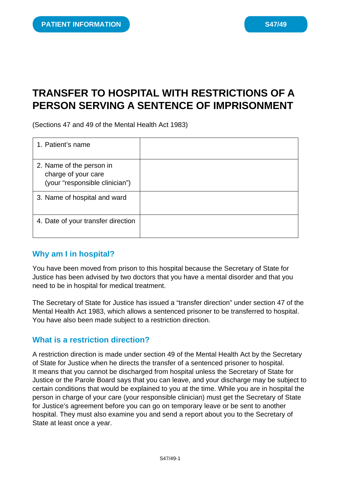# **TRANSFER TO HOSPITAL WITH RESTRICTIONS OF A PERSON SERVING A SENTENCE OF IMPRISONMENT**

(Sections 47 and 49 of the Mental Health Act 1983)

| 1. Patient's name                                                                 |  |
|-----------------------------------------------------------------------------------|--|
| 2. Name of the person in<br>charge of your care<br>(your "responsible clinician") |  |
| 3. Name of hospital and ward                                                      |  |
| 4. Date of your transfer direction                                                |  |

### **Why am I in hospital?**

You have been moved from prison to this hospital because the Secretary of State for Justice has been advised by two doctors that you have a mental disorder and that you need to be in hospital for medical treatment.

The Secretary of State for Justice has issued a "transfer direction" under section 47 of the Mental Health Act 1983, which allows a sentenced prisoner to be transferred to hospital. You have also been made subject to a restriction direction.

#### **What is a restriction direction?**

A restriction direction is made under section 49 of the Mental Health Act by the Secretary of State for Justice when he directs the transfer of a sentenced prisoner to hospital. It means that you cannot be discharged from hospital unless the Secretary of State for Justice or the Parole Board says that you can leave, and your discharge may be subject to certain conditions that would be explained to you at the time. While you are in hospital the person in charge of your care (your responsible clinician) must get the Secretary of State for Justice's agreement before you can go on temporary leave or be sent to another hospital. They must also examine you and send a report about you to the Secretary of State at least once a year.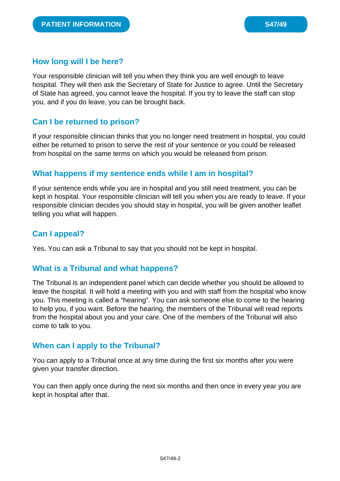### **How long will I be here?**

Your responsible clinician will tell you when they think you are well enough to leave hospital. They will then ask the Secretary of State for Justice to agree. Until the Secretary of State has agreed, you cannot leave the hospital. If you try to leave the staff can stop you, and if you do leave, you can be brought back.

### **Can I be returned to prison?**

If your responsible clinician thinks that you no longer need treatment in hospital, you could either be returned to prison to serve the rest of your sentence or you could be released from hospital on the same terms on which you would be released from prison.

## **What happens if my sentence ends while I am in hospital?**

If your sentence ends while you are in hospital and you still need treatment, you can be kept in hospital. Your responsible clinician will tell you when you are ready to leave. If your responsible clinician decides you should stay in hospital, you will be given another leaflet telling you what will happen.

### **Can I appeal?**

Yes. You can ask a Tribunal to say that you should not be kept in hospital.

### **What is a Tribunal and what happens?**

The Tribunal is an independent panel which can decide whether you should be allowed to leave the hospital. It will hold a meeting with you and with staff from the hospital who know you. This meeting is called a "hearing". You can ask someone else to come to the hearing to help you, if you want. Before the hearing, the members of the Tribunal will read reports from the hospital about you and your care. One of the members of the Tribunal will also come to talk to you.

### **When can I apply to the Tribunal?**

You can apply to a Tribunal once at any time during the first six months after you were given your transfer direction.

You can then apply once during the next six months and then once in every year you are kept in hospital after that.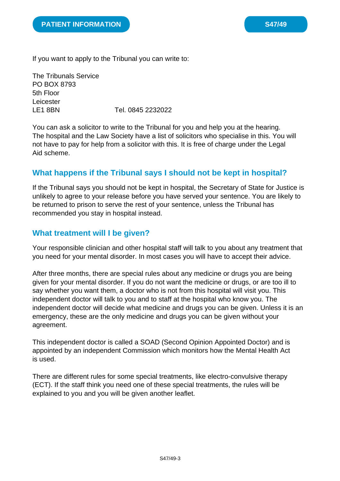If you want to apply to the Tribunal you can write to:

The Tribunals Service PO BOX 8793 5th Floor Leicester LE1 8BN Tel. 0845 2232022

You can ask a solicitor to write to the Tribunal for you and help you at the hearing. The hospital and the Law Society have a list of solicitors who specialise in this. You will not have to pay for help from a solicitor with this. It is free of charge under the Legal Aid scheme.

## **What happens if the Tribunal says I should not be kept in hospital?**

If the Tribunal says you should not be kept in hospital, the Secretary of State for Justice is unlikely to agree to your release before you have served your sentence. You are likely to be returned to prison to serve the rest of your sentence, unless the Tribunal has recommended you stay in hospital instead.

### **What treatment will I be given?**

Your responsible clinician and other hospital staff will talk to you about any treatment that you need for your mental disorder. In most cases you will have to accept their advice.

After three months, there are special rules about any medicine or drugs you are being given for your mental disorder. If you do not want the medicine or drugs, or are too ill to say whether you want them, a doctor who is not from this hospital will visit you. This independent doctor will talk to you and to staff at the hospital who know you. The independent doctor will decide what medicine and drugs you can be given. Unless it is an emergency, these are the only medicine and drugs you can be given without your agreement.

This independent doctor is called a SOAD (Second Opinion Appointed Doctor) and is appointed by an independent Commission which monitors how the Mental Health Act is used.

There are different rules for some special treatments, like electro-convulsive therapy (ECT). If the staff think you need one of these special treatments, the rules will be explained to you and you will be given another leaflet.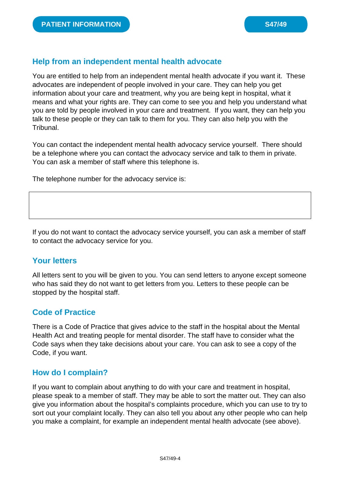## **Help from an independent mental health advocate**

You are entitled to help from an independent mental health advocate if you want it. These advocates are independent of people involved in your care. They can help you get information about your care and treatment, why you are being kept in hospital, what it means and what your rights are. They can come to see you and help you understand what you are told by people involved in your care and treatment. If you want, they can help you talk to these people or they can talk to them for you. They can also help you with the Tribunal.

You can contact the independent mental health advocacy service yourself. There should be a telephone where you can contact the advocacy service and talk to them in private. You can ask a member of staff where this telephone is.

The telephone number for the advocacy service is:

If you do not want to contact the advocacy service yourself, you can ask a member of staff to contact the advocacy service for you.

## **Your letters**

All letters sent to you will be given to you. You can send letters to anyone except someone who has said they do not want to get letters from you. Letters to these people can be stopped by the hospital staff.

### **Code of Practice**

There is a Code of Practice that gives advice to the staff in the hospital about the Mental Health Act and treating people for mental disorder. The staff have to consider what the Code says when they take decisions about your care. You can ask to see a copy of the Code, if you want.

### **How do I complain?**

If you want to complain about anything to do with your care and treatment in hospital, please speak to a member of staff. They may be able to sort the matter out. They can also give you information about the hospital's complaints procedure, which you can use to try to sort out your complaint locally. They can also tell you about any other people who can help you make a complaint, for example an independent mental health advocate (see above).